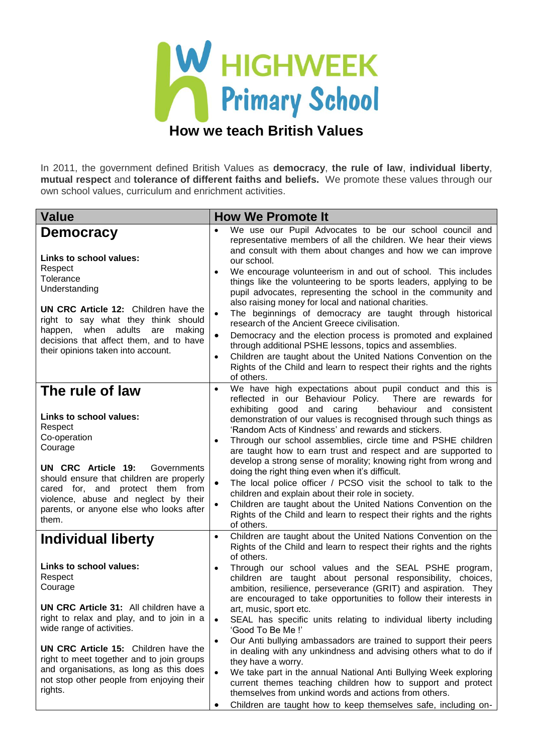

In 2011, the government defined British Values as **democracy**, **the rule of law**, **individual liberty**, **mutual respect** and **tolerance of different faiths and beliefs.** We promote these values through our own school values, curriculum and enrichment activities.

## **Value How We Promote It Democracy Links to school values:** Respect **Tolerance** Understanding **UN CRC Article 12:** Children have the right to say what they think should happen, when adults are making decisions that affect them, and to have their opinions taken into account. We use our Pupil Advocates to be our school council and representative members of all the children. We hear their views and consult with them about changes and how we can improve our school. We encourage volunteerism in and out of school. This includes things like the volunteering to be sports leaders, applying to be pupil advocates, representing the school in the community and also raising money for local and national charities. The beginnings of democracy are taught through historical research of the Ancient Greece civilisation. Democracy and the election process is promoted and explained through additional PSHE lessons, topics and assemblies. Children are taught about the United Nations Convention on the Rights of the Child and learn to respect their rights and the rights of others. **The rule of law Links to school values: Respect** Co-operation **Courage UN CRC Article 19:** Governments should ensure that children are properly cared for, and protect them from violence, abuse and neglect by their parents, or anyone else who looks after them. We have high expectations about pupil conduct and this is reflected in our Behaviour Policy. There are rewards for exhibiting good and caring behaviour and consistent demonstration of our values is recognised through such things as 'Random Acts of Kindness' and rewards and stickers. Through our school assemblies, circle time and PSHE children are taught how to earn trust and respect and are supported to develop a strong sense of morality; knowing right from wrong and doing the right thing even when it's difficult. The local police officer / PCSO visit the school to talk to the children and explain about their role in society. Children are taught about the United Nations Convention on the Rights of the Child and learn to respect their rights and the rights of others. **Individual liberty Links to school values:** Respect **Courage UN CRC Article 31:** All children have a right to relax and play, and to join in a wide range of activities. **UN CRC Article 15:** Children have the right to meet together and to join groups and organisations, as long as this does not stop other people from enjoying their rights. Children are taught about the United Nations Convention on the Rights of the Child and learn to respect their rights and the rights of others. Through our school values and the SEAL PSHE program, children are taught about personal responsibility, choices, ambition, resilience, perseverance (GRIT) and aspiration. They are encouraged to take opportunities to follow their interests in art, music, sport etc. SEAL has specific units relating to individual liberty including 'Good To Be Me !' Our Anti bullying ambassadors are trained to support their peers in dealing with any unkindness and advising others what to do if they have a worry. We take part in the annual National Anti Bullying Week exploring current themes teaching children how to support and protect themselves from unkind words and actions from others.

Children are taught how to keep themselves safe, including on-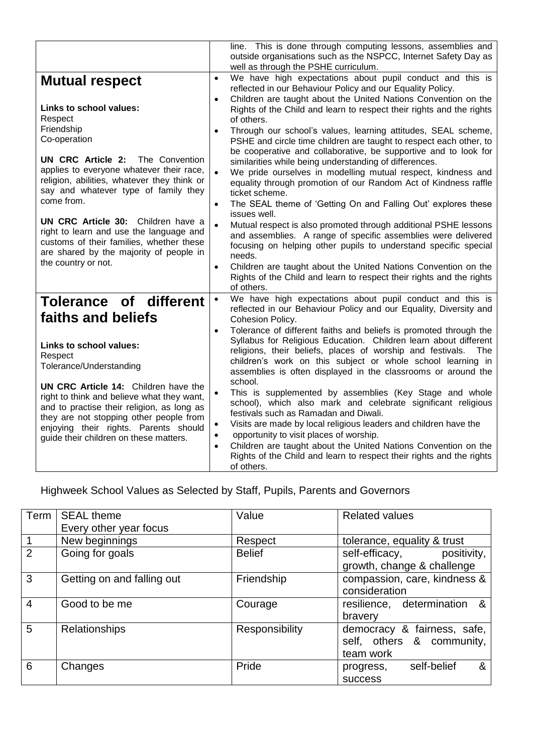|                                                                                                                                                                                                                                                                                                                                                                                            |                                     | line. This is done through computing lessons, assemblies and<br>outside organisations such as the NSPCC, Internet Safety Day as                                                                                                                                                                                                            |
|--------------------------------------------------------------------------------------------------------------------------------------------------------------------------------------------------------------------------------------------------------------------------------------------------------------------------------------------------------------------------------------------|-------------------------------------|--------------------------------------------------------------------------------------------------------------------------------------------------------------------------------------------------------------------------------------------------------------------------------------------------------------------------------------------|
|                                                                                                                                                                                                                                                                                                                                                                                            |                                     | well as through the PSHE curriculum.                                                                                                                                                                                                                                                                                                       |
| <b>Mutual respect</b>                                                                                                                                                                                                                                                                                                                                                                      | $\bullet$<br>$\bullet$              | We have high expectations about pupil conduct and this is<br>reflected in our Behaviour Policy and our Equality Policy.<br>Children are taught about the United Nations Convention on the                                                                                                                                                  |
| Links to school values:<br>Respect                                                                                                                                                                                                                                                                                                                                                         |                                     | Rights of the Child and learn to respect their rights and the rights<br>of others.                                                                                                                                                                                                                                                         |
| Friendship<br>Co-operation                                                                                                                                                                                                                                                                                                                                                                 | $\bullet$                           | Through our school's values, learning attitudes, SEAL scheme,<br>PSHE and circle time children are taught to respect each other, to<br>be cooperative and collaborative, be supportive and to look for                                                                                                                                     |
| <b>UN CRC Article 2:</b><br>The Convention<br>applies to everyone whatever their race,<br>religion, abilities, whatever they think or<br>say and whatever type of family they<br>come from.<br>UN CRC Article 30: Children have a<br>right to learn and use the language and<br>customs of their families, whether these<br>are shared by the majority of people in<br>the country or not. | $\bullet$                           | similarities while being understanding of differences.<br>We pride ourselves in modelling mutual respect, kindness and<br>equality through promotion of our Random Act of Kindness raffle<br>ticket scheme.                                                                                                                                |
|                                                                                                                                                                                                                                                                                                                                                                                            | $\bullet$                           | The SEAL theme of 'Getting On and Falling Out' explores these<br>issues well.<br>Mutual respect is also promoted through additional PSHE lessons                                                                                                                                                                                           |
|                                                                                                                                                                                                                                                                                                                                                                                            |                                     | and assemblies. A range of specific assemblies were delivered<br>focusing on helping other pupils to understand specific special<br>needs.                                                                                                                                                                                                 |
|                                                                                                                                                                                                                                                                                                                                                                                            | $\bullet$                           | Children are taught about the United Nations Convention on the<br>Rights of the Child and learn to respect their rights and the rights<br>of others.                                                                                                                                                                                       |
| Tolerance of different<br>faiths and beliefs                                                                                                                                                                                                                                                                                                                                               | $\bullet$                           | We have high expectations about pupil conduct and this is<br>reflected in our Behaviour Policy and our Equality, Diversity and<br>Cohesion Policy.                                                                                                                                                                                         |
| Links to school values:<br>Respect<br>Tolerance/Understanding                                                                                                                                                                                                                                                                                                                              | $\bullet$                           | Tolerance of different faiths and beliefs is promoted through the<br>Syllabus for Religious Education. Children learn about different<br>religions, their beliefs, places of worship and festivals.<br>The<br>children's work on this subject or whole school learning in<br>assemblies is often displayed in the classrooms or around the |
| UN CRC Article 14: Children have the<br>right to think and believe what they want,<br>and to practise their religion, as long as<br>they are not stopping other people from<br>enjoying their rights. Parents should<br>guide their children on these matters.                                                                                                                             | $\bullet$                           | school.<br>This is supplemented by assemblies (Key Stage and whole<br>school), which also mark and celebrate significant religious<br>festivals such as Ramadan and Diwali.                                                                                                                                                                |
|                                                                                                                                                                                                                                                                                                                                                                                            | $\bullet$<br>$\bullet$<br>$\bullet$ | Visits are made by local religious leaders and children have the<br>opportunity to visit places of worship.<br>Children are taught about the United Nations Convention on the<br>Rights of the Child and learn to respect their rights and the rights                                                                                      |
|                                                                                                                                                                                                                                                                                                                                                                                            |                                     | of others.                                                                                                                                                                                                                                                                                                                                 |

Highweek School Values as Selected by Staff, Pupils, Parents and Governors

| Term           | <b>SEAL theme</b><br>Every other year focus | Value          | <b>Related values</b>                                                 |
|----------------|---------------------------------------------|----------------|-----------------------------------------------------------------------|
|                | New beginnings                              | Respect        | tolerance, equality & trust                                           |
| 2              | Going for goals                             | <b>Belief</b>  | self-efficacy,<br>positivity,<br>growth, change & challenge           |
| 3              | Getting on and falling out                  | Friendship     | compassion, care, kindness &<br>consideration                         |
| $\overline{4}$ | Good to be me                               | Courage        | resilience, determination &<br>bravery                                |
| 5              | <b>Relationships</b>                        | Responsibility | democracy & fairness, safe,<br>self, others & community,<br>team work |
| 6              | Changes                                     | Pride          | progress, self-belief<br>&<br><b>SUCCESS</b>                          |